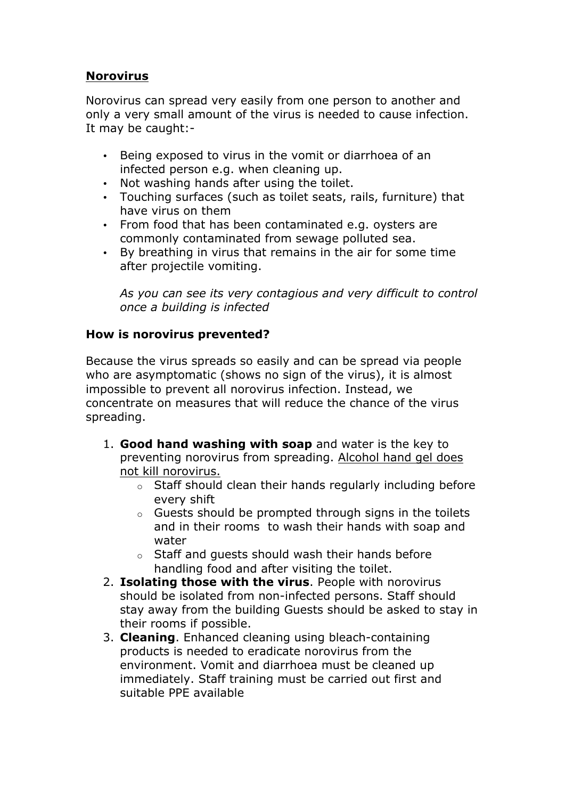## **Norovirus**

Norovirus can spread very easily from one person to another and only a very small amount of the virus is needed to cause infection. It may be caught:-

- Being exposed to virus in the vomit or diarrhoea of an infected person e.g. when cleaning up.
- Not washing hands after using the toilet.
- Touching surfaces (such as toilet seats, rails, furniture) that have virus on them
- From food that has been contaminated e.g. oysters are commonly contaminated from sewage polluted sea.
- By breathing in virus that remains in the air for some time after projectile vomiting.

*As you can see its very contagious and very difficult to control once a building is infected*

## **How is norovirus prevented?**

Because the virus spreads so easily and can be spread via people who are asymptomatic (shows no sign of the virus), it is almost impossible to prevent all norovirus infection. Instead, we concentrate on measures that will reduce the chance of the virus spreading.

- 1. **Good hand washing with soap** and water is the key to preventing norovirus from spreading. Alcohol hand gel does not kill norovirus.
	- o Staff should clean their hands regularly including before every shift
	- o Guests should be prompted through signs in the toilets and in their rooms to wash their hands with soap and water
	- o Staff and guests should wash their hands before handling food and after visiting the toilet.
- 2. **Isolating those with the virus**. People with norovirus should be isolated from non-infected persons. Staff should stay away from the building Guests should be asked to stay in their rooms if possible.
- 3. **Cleaning**. Enhanced cleaning using bleach-containing products is needed to eradicate norovirus from the environment. Vomit and diarrhoea must be cleaned up immediately. Staff training must be carried out first and suitable PPE available